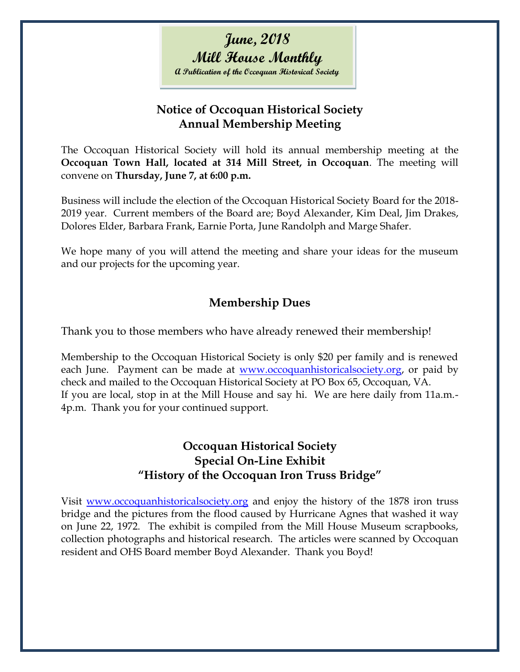# **June, 2018 Mill House Monthly A Publication of the Occoquan Historical Society**

#### **Notice of Occoquan Historical Society Annual Membership Meeting**

The Occoquan Historical Society will hold its annual membership meeting at the **Occoquan Town Hall, located at 314 Mill Street, in Occoquan**. The meeting will convene on **Thursday, June 7, at 6:00 p.m.**

Business will include the election of the Occoquan Historical Society Board for the 2018- 2019 year. Current members of the Board are; Boyd Alexander, Kim Deal, Jim Drakes, Dolores Elder, Barbara Frank, Earnie Porta, June Randolph and Marge Shafer.

We hope many of you will attend the meeting and share your ideas for the museum and our projects for the upcoming year.

## **Membership Dues**

Thank you to those members who have already renewed their membership!

Membership to the Occoquan Historical Society is only \$20 per family and is renewed each June. Payment can be made at [www.occoquanhistoricalsociety.org,](http://www.occoquanhistoricalsociety.org/) or paid by check and mailed to the Occoquan Historical Society at PO Box 65, Occoquan, VA. If you are local, stop in at the Mill House and say hi. We are here daily from 11a.m.- 4p.m. Thank you for your continued support.

### **Occoquan Historical Society Special On-Line Exhibit "History of the Occoquan Iron Truss Bridge"**

Visit [www.occoquanhistoricalsociety.org](http://www.occoquanhistoricalsociety.org/) and enjoy the history of the 1878 iron truss bridge and the pictures from the flood caused by Hurricane Agnes that washed it way on June 22, 1972. The exhibit is compiled from the Mill House Museum scrapbooks, collection photographs and historical research. The articles were scanned by Occoquan resident and OHS Board member Boyd Alexander. Thank you Boyd!